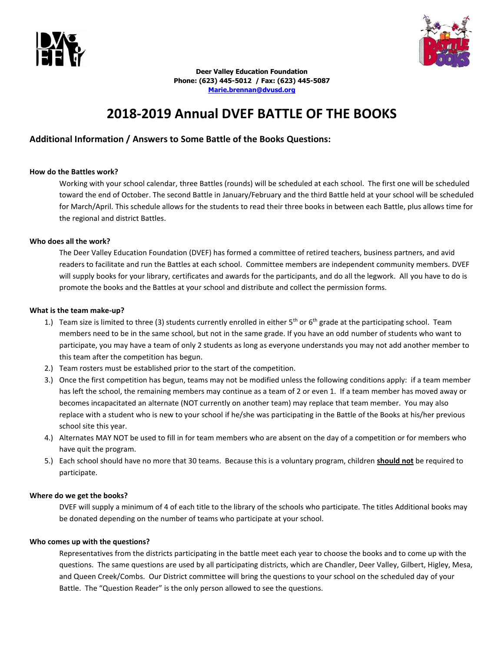



**Deer Valley Education Foundation Phone: (623) 445-5012 / Fax: (623) 445-5087 [Marie.brennan@dvusd.org](mailto:Marie.brennan@dvusd.org)**

# **2018-2019 Annual DVEF BATTLE OF THE BOOKS**

### **Additional Information / Answers to Some Battle of the Books Questions:**

#### **How do the Battles work?**

Working with your school calendar, three Battles (rounds) will be scheduled at each school. The first one will be scheduled toward the end of October. The second Battle in January/February and the third Battle held at your school will be scheduled for March/April. This schedule allows for the students to read their three books in between each Battle, plus allows time for the regional and district Battles.

#### **Who does all the work?**

The Deer Valley Education Foundation (DVEF) has formed a committee of retired teachers, business partners, and avid readers to facilitate and run the Battles at each school. Committee members are independent community members. DVEF will supply books for your library, certificates and awards for the participants, and do all the legwork. All you have to do is promote the books and the Battles at your school and distribute and collect the permission forms.

#### **What is the team make-up?**

- 1.) Team size is limited to three (3) students currently enrolled in either  $5<sup>th</sup>$  or  $6<sup>th</sup>$  grade at the participating school. Team members need to be in the same school, but not in the same grade. If you have an odd number of students who want to participate, you may have a team of only 2 students as long as everyone understands you may not add another member to this team after the competition has begun.
- 2.) Team rosters must be established prior to the start of the competition.
- 3.) Once the first competition has begun, teams may not be modified unless the following conditions apply: if a team member has left the school, the remaining members may continue as a team of 2 or even 1. If a team member has moved away or becomes incapacitated an alternate (NOT currently on another team) may replace that team member. You may also replace with a student who is new to your school if he/she was participating in the Battle of the Books at his/her previous school site this year.
- 4.) Alternates MAY NOT be used to fill in for team members who are absent on the day of a competition or for members who have quit the program.
- 5.) Each school should have no more that 30 teams. Because this is a voluntary program, children **should not** be required to participate.

#### **Where do we get the books?**

DVEF will supply a minimum of 4 of each title to the library of the schools who participate. The titles Additional books may be donated depending on the number of teams who participate at your school.

#### **Who comes up with the questions?**

Representatives from the districts participating in the battle meet each year to choose the books and to come up with the questions. The same questions are used by all participating districts, which are Chandler, Deer Valley, Gilbert, Higley, Mesa, and Queen Creek/Combs. Our District committee will bring the questions to your school on the scheduled day of your Battle. The "Question Reader" is the only person allowed to see the questions.